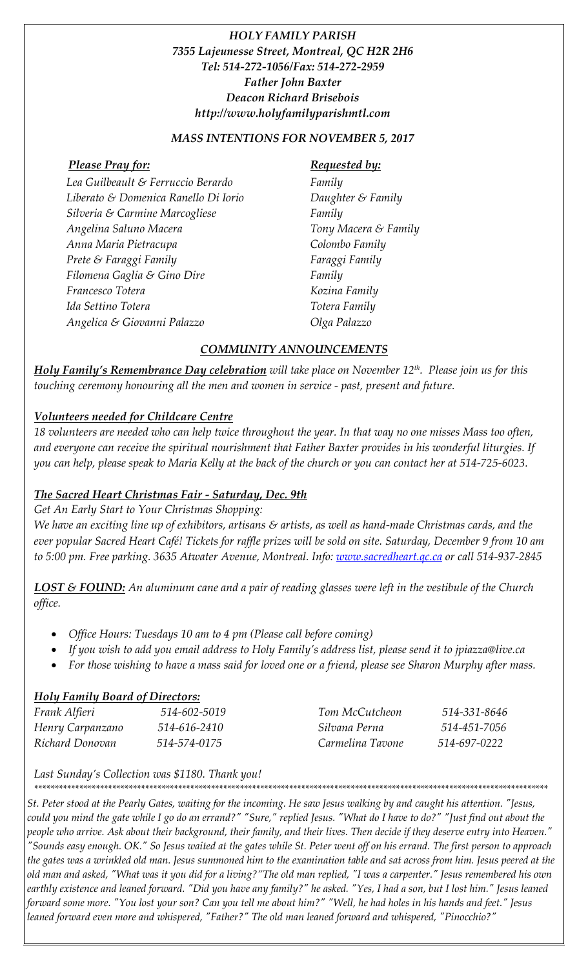# *HOLY FAMILY PARISH 7355 Lajeunesse Street, Montreal, QC H2R 2H6 Tel: 514-272-1056/Fax: 514-272-2959 Father John Baxter Deacon Richard Brisebois http://www.holyfamilyparishmtl.com*

#### *MASS INTENTIONS FOR NOVEMBER 5, 2017*

#### *Please Pray for: Requested by:*

*Lea Guilbeault & Ferruccio Berardo Liberato & Domenica Ranello Di Iorio Silveria & Carmine Marcogliese Angelina Saluno Macera Anna Maria Pietracupa Prete & Faraggi Family Filomena Gaglia & Gino Dire Francesco Totera Ida Settino Totera Angelica & Giovanni Palazzo*

*Family Daughter & Family Family Tony Macera & Family Colombo Family Faraggi Family Family Kozina Family Totera Family Olga Palazzo*

## *COMMUNITY ANNOUNCEMENTS*

*Holy Family's Remembrance Day celebration will take place on November 12th. Please join us for this touching ceremony honouring all the men and women in service - past, present and future.*

## *Volunteers needed for Childcare Centre*

*18 volunteers are needed who can help twice throughout the year. In that way no one misses Mass too often, and everyone can receive the spiritual nourishment that Father Baxter provides in his wonderful liturgies. If you can help, please speak to Maria Kelly at the back of the church or you can contact her at 514-725-6023.* 

# *The Sacred Heart Christmas Fair - Saturday, Dec. 9th*

*Get An Early Start to Your Christmas Shopping: We have an exciting line up of exhibitors, artisans & artists, as well as hand-made Christmas cards, and the ever popular Sacred Heart Café! Tickets for raffle prizes will be sold on site. Saturday, December 9 from 10 am* 

*LOST & FOUND: An aluminum cane and a pair of reading glasses were left in the vestibule of the Church office.* 

*to 5:00 pm. Free parking. 3635 Atwater Avenue, Montreal. Info: [www.sacredheart.qc.ca](http://www.sacredheart.qc.ca/) or call 514-937-2845*

- *Office Hours: Tuesdays 10 am to 4 pm (Please call before coming)*
- *If you wish to add you email address to Holy Family's address list, please send it to jpiazza@live.ca*
- *For those wishing to have a mass said for loved one or a friend, please see Sharon Murphy after mass.*

### *Holy Family Board of Directors:*

| Frank Alfieri    | 514-602-5019 | Tom McCutcheon   | 514-331-8646 |
|------------------|--------------|------------------|--------------|
| Henry Carpanzano | 514-616-2410 | Silvana Perna    | 514-451-7056 |
| Richard Donovan  | 514-574-0175 | Carmelina Tavone | 514-697-0222 |

*Last Sunday's Collection was \$1180. Thank you!*

*\*\*\*\*\*\*\*\*\*\*\*\*\*\*\*\*\*\*\*\*\*\*\*\*\*\*\*\*\*\*\*\*\*\*\*\*\*\*\*\*\*\*\*\*\*\*\*\*\*\*\*\*\*\*\*\*\*\*\*\*\*\*\*\*\*\*\*\*\*\*\*\*\*\*\*\*\*\*\*\*\*\*\*\*\*\*\*\*\*\*\*\*\*\*\*\*\*\*\*\*\*\*\*\*\*\*\*\*\*\*\*\*\*\*\*\*\*\*\*\*\*\*\*\*\**

*St. Peter stood at the Pearly Gates, waiting for the incoming. He saw Jesus walking by and caught his attention. "Jesus, could you mind the gate while I go do an errand?" "Sure," replied Jesus. "What do I have to do?" "Just find out about the people who arrive. Ask about their background, their family, and their lives. Then decide if they deserve entry into Heaven." "Sounds easy enough. OK." So Jesus waited at the gates while St. Peter went off on his errand. The first person to approach the gates was a wrinkled old man. Jesus summoned him to the examination table and sat across from him. Jesus peered at the old man and asked, "What was it you did for a living?"The old man replied, "I was a carpenter." Jesus remembered his own earthly existence and leaned forward. "Did you have any family?" he asked. "Yes, I had a son, but I lost him." Jesus leaned forward some more. "You lost your son? Can you tell me about him?" "Well, he had holes in his hands and feet." Jesus leaned forward even more and whispered, "Father?" The old man leaned forward and whispered, "Pinocchio?"*